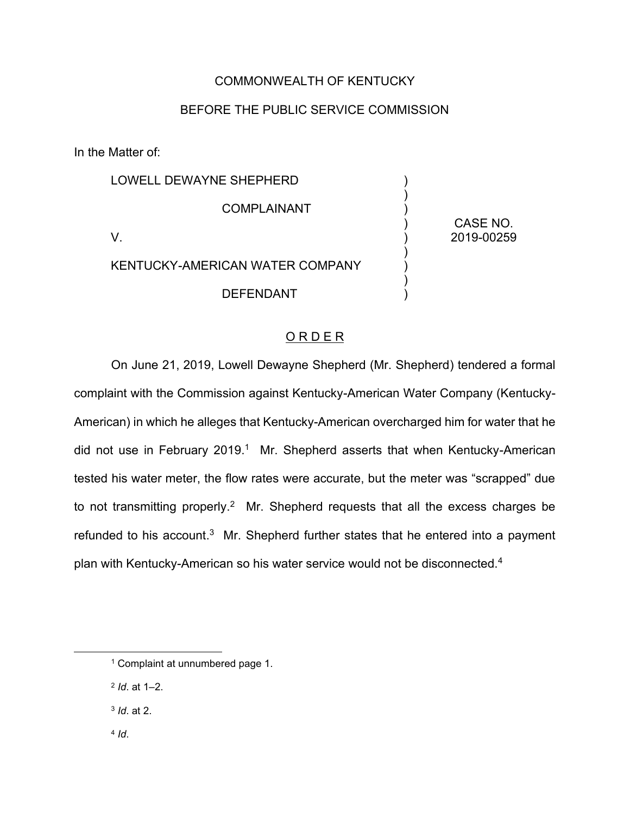## COMMONWEALTH OF KENTUCKY

## BEFORE THE PUBLIC SERVICE COMMISSION

In the Matter of:

| LOWELL DEWAYNE SHEPHERD         |            |
|---------------------------------|------------|
| <b>COMPLAINANT</b>              | CASE NO.   |
|                                 | 2019-00259 |
| KENTUCKY-AMERICAN WATER COMPANY |            |
| <b>DEFENDANT</b>                |            |

## O R D E R

On June 21, 2019, Lowell Dewayne Shepherd (Mr. Shepherd) tendered a formal complaint with the Commission against Kentucky-American Water Company (Kentucky-American) in which he alleges that Kentucky-American overcharged him for water that he did not use in February 2019.<sup>1</sup> Mr. Shepherd asserts that when Kentucky-American tested his water meter, the flow rates were accurate, but the meter was "scrapped" due to not transmitting properly.<sup>2</sup> Mr. Shepherd requests that all the excess charges be refunded to his account.<sup>3</sup> Mr. Shepherd further states that he entered into a payment plan with Kentucky-American so his water service would not be disconnected.4

- <sup>3</sup> *Id*. at 2.
- <sup>4</sup> *Id*.

<sup>1</sup> Complaint at unnumbered page 1.

<sup>2</sup> *Id*. at 1–2.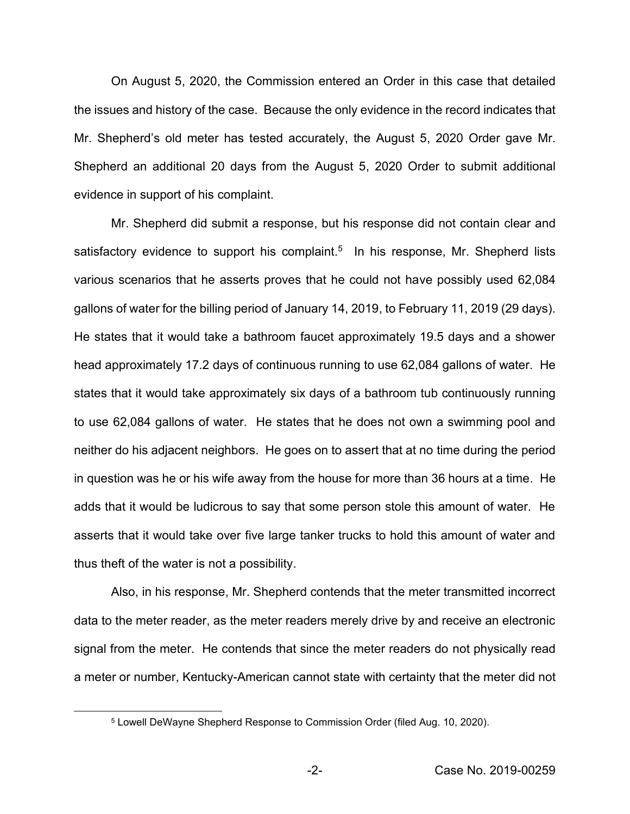On August 5, 2020, the Commission entered an Order in this case that detailed the issues and history of the case. Because the only evidence in the record indicates that Mr. Shepherd's old meter has tested accurately, the August 5, 2020 Order gave Mr. Shepherd an additional 20 days from the August 5, 2020 Order to submit additional evidence in support of his complaint.

Mr. Shepherd did submit a response, but his response did not contain clear and satisfactory evidence to support his complaint.<sup>5</sup> In his response, Mr. Shepherd lists various scenarios that he asserts proves that he could not have possibly used 62,084 gallons of water for the billing period of January 14, 2019, to February 11, 2019 (29 days). He states that it would take a bathroom faucet approximately 19.5 days and a shower head approximately 17.2 days of continuous running to use 62,084 gallons of water. He states that it would take approximately six days of a bathroom tub continuously running to use 62,084 gallons of water. He states that he does not own a swimming pool and neither do his adjacent neighbors. He goes on to assert that at no time during the period in question was he or his wife away from the house for more than 36 hours at a time. He adds that it would be ludicrous to say that some person stole this amount of water. He asserts that it would take over five large tanker trucks to hold this amount of water and thus theft of the water is not a possibility.

Also, in his response, Mr. Shepherd contends that the meter transmitted incorrect data to the meter reader, as the meter readers merely drive by and receive an electronic signal from the meter. He contends that since the meter readers do not physically read a meter or number, Kentucky-American cannot state with certainty that the meter did not

<sup>5</sup> Lowell DeWayne Shepherd Response to Commission Order (filed Aug. 10, 2020).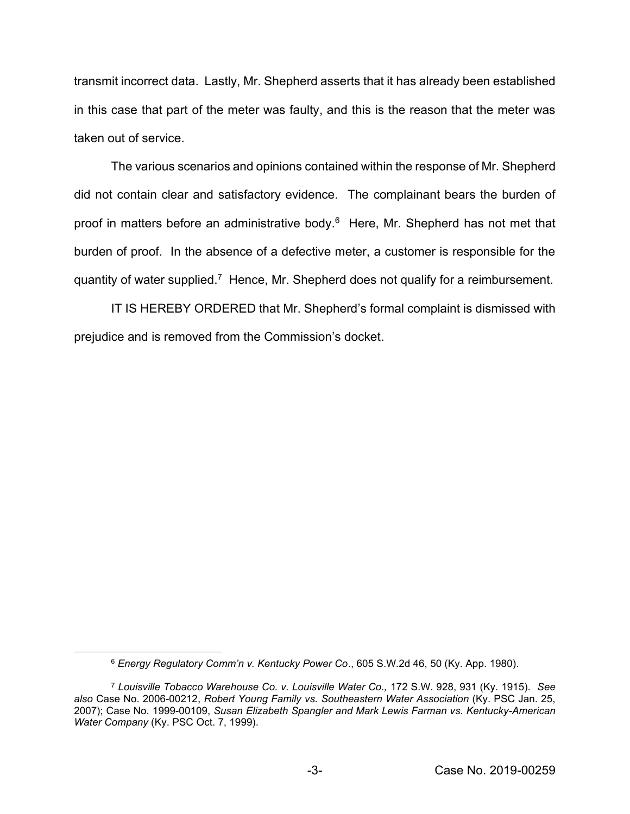transmit incorrect data. Lastly, Mr. Shepherd asserts that it has already been established in this case that part of the meter was faulty, and this is the reason that the meter was taken out of service.

The various scenarios and opinions contained within the response of Mr. Shepherd did not contain clear and satisfactory evidence. The complainant bears the burden of proof in matters before an administrative body.6 Here, Mr. Shepherd has not met that burden of proof. In the absence of a defective meter, a customer is responsible for the quantity of water supplied.7 Hence, Mr. Shepherd does not qualify for a reimbursement.

IT IS HEREBY ORDERED that Mr. Shepherd's formal complaint is dismissed with prejudice and is removed from the Commission's docket.

<sup>6</sup> *Energy Regulatory Comm'n v. Kentucky Power Co*., 605 S.W.2d 46, 50 (Ky. App. 1980).

<sup>7</sup> *Louisville Tobacco Warehouse Co. v. Louisville Water Co.,* 172 S.W. 928, 931 (Ky. 1915). *See also* Case No. 2006-00212, *Robert Young Family vs. Southeastern Water Association* (Ky. PSC Jan. 25, 2007); Case No. 1999-00109, *Susan Elizabeth Spangler and Mark Lewis Farman vs. Kentucky-American Water Company* (Ky. PSC Oct. 7, 1999).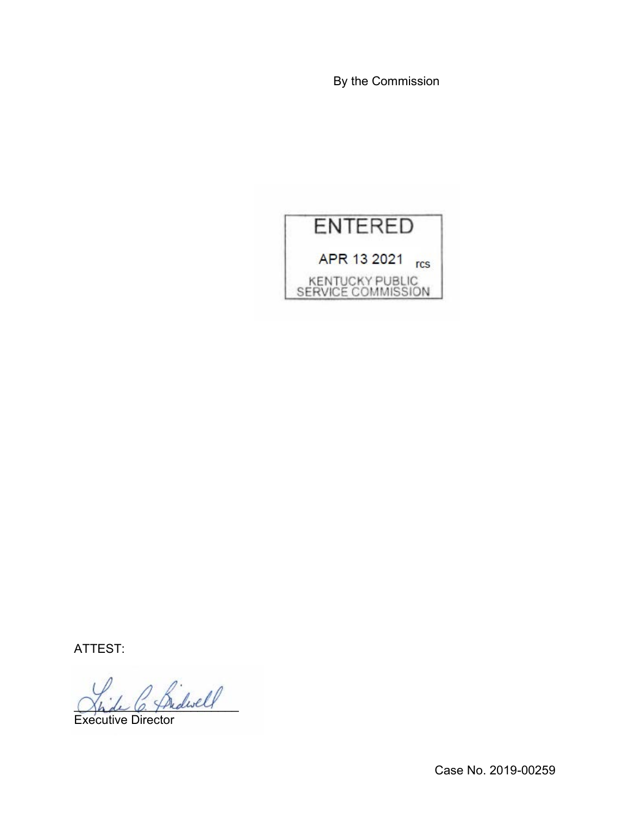By the Commission



ATTEST:

 $^{\prime}$  fridwell

Executive Director

Case No. 2019-00259